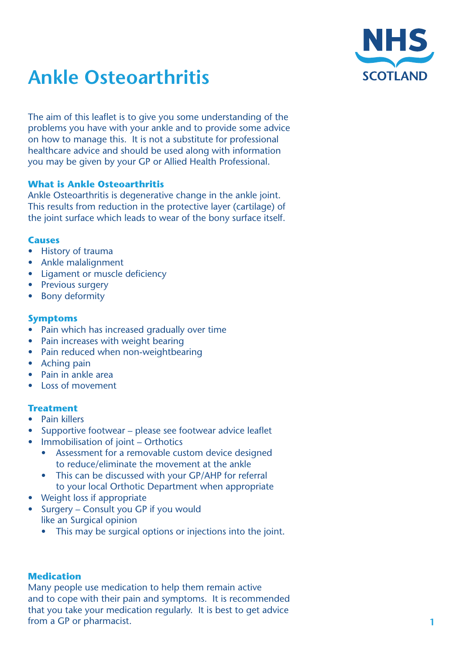

# **Ankle Osteoarthritis**

The aim of this leaflet is to give you some understanding of the problems you have with your ankle and to provide some advice on how to manage this. It is not a substitute for professional healthcare advice and should be used along with information you may be given by your GP or Allied Health Professional.

## **What is Ankle Osteoarthritis**

Ankle Osteoarthritis is degenerative change in the ankle joint. This results from reduction in the protective layer (cartilage) of the joint surface which leads to wear of the bony surface itself.

#### **Causes**

- • History of trauma
- Ankle malalignment
- Ligament or muscle deficiency
- Previous surgery
- Bony deformity

#### **Symptoms**

- Pain which has increased gradually over time
- Pain increases with weight bearing
- Pain reduced when non-weightbearing
- Aching pain
- Pain in ankle area
- **Loss of movement**

### **Treatment**

- **Pain killers**
- Supportive footwear please see footwear advice leaflet
- Immobilisation of joint Orthotics
	- Assessment for a removable custom device designed to reduce/eliminate the movement at the ankle
	- This can be discussed with your GP/AHP for referral to your local Orthotic Department when appropriate
- **Weight loss if appropriate**
- Surgery Consult you GP if you would like an Surgical opinion
	- This may be surgical options or injections into the joint.

### **Medication**

Many people use medication to help them remain active and to cope with their pain and symptoms. It is recommended that you take your medication regularly. It is best to get advice from a GP or pharmacist.